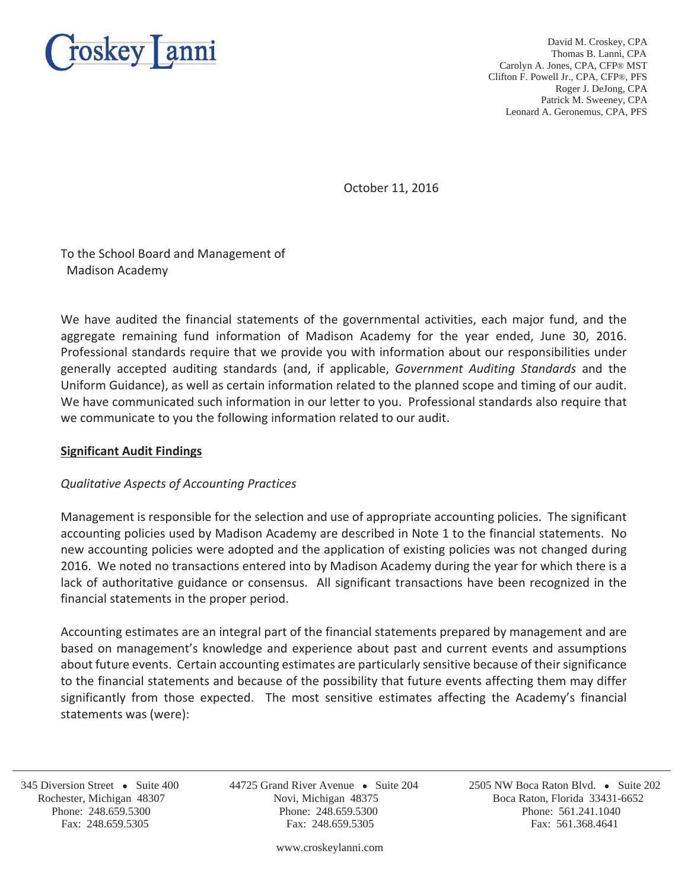

David M. Croskey, CPA Thomas B. Lanni, CPA Carolyn A. Jones, CPA, CFP® MST Clifton F. Powell Jr., CPA, CFP®, PFS Roger J. DeJong, CPA Patrick M. Sweeney, CPA Leonard A. Geronemus, CPA, PFS

October 11, 2016

To the School Board and Management of Madison Academy

We have audited the financial statements of the governmental activities, each major fund, and the aggregate remaining fund information of Madison Academy for the year ended, June 30, 2016. Professional standards require that we provide you with information about our responsibilities under generally accepted auditing standards (and, if applicable, *Government Auditing Standards* and the Uniform Guidance), as well as certain information related to the planned scope and timing of our audit. We have communicated such information in our letter to you. Professional standards also require that we communicate to you the following information related to our audit.

### **Significant Audit Findings**

# *Qualitative Aspects of Accounting Practices*

Management is responsible for the selection and use of appropriate accounting policies. The significant accounting policies used by Madison Academy are described in Note 1 to the financial statements. No new accounting policies were adopted and the application of existing policies was not changed during 2016. We noted no transactions entered into by Madison Academy during the year for which there is a lack of authoritative guidance or consensus. All significant transactions have been recognized in the financial statements in the proper period.

Accounting estimates are an integral part of the financial statements prepared by management and are based on management's knowledge and experience about past and current events and assumptions about future events. Certain accounting estimates are particularly sensitive because of their significance to the financial statements and because of the possibility that future events affecting them may differ significantly from those expected. The most sensitive estimates affecting the Academy's financial statements was (were):

j

www.croskeylanni.com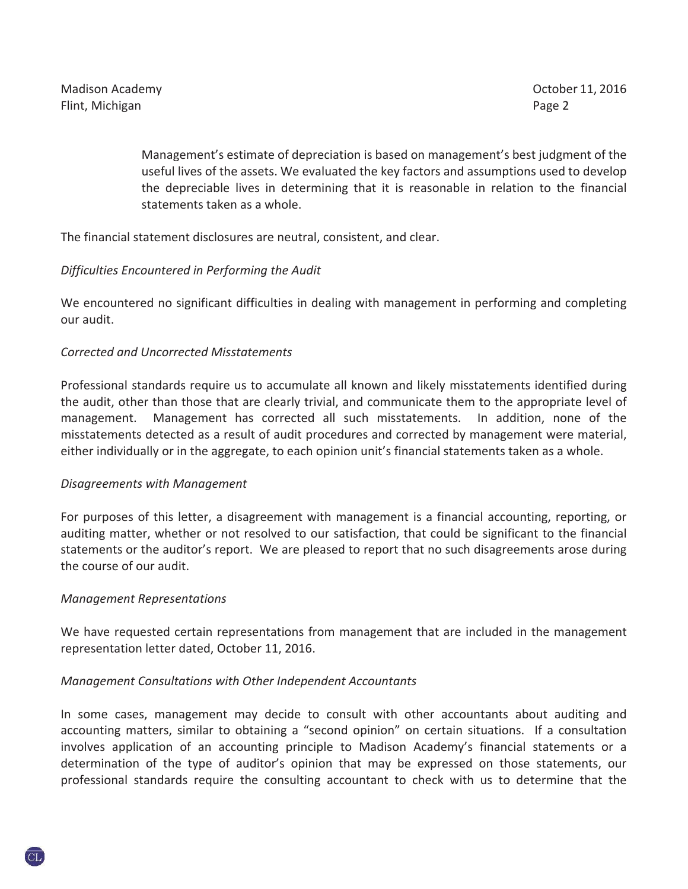Management's estimate of depreciation is based on management's best judgment of the useful lives of the assets. We evaluated the key factors and assumptions used to develop the depreciable lives in determining that it is reasonable in relation to the financial statements taken as a whole.

The financial statement disclosures are neutral, consistent, and clear.

### *Difficulties Encountered in Performing the Audit*

We encountered no significant difficulties in dealing with management in performing and completing our audit.

### *Corrected and Uncorrected Misstatements*

Professional standards require us to accumulate all known and likely misstatements identified during the audit, other than those that are clearly trivial, and communicate them to the appropriate level of management. Management has corrected all such misstatements. In addition, none of the misstatements detected as a result of audit procedures and corrected by management were material, either individually or in the aggregate, to each opinion unit's financial statements taken as a whole.

# *Disagreements with Management*

For purposes of this letter, a disagreement with management is a financial accounting, reporting, or auditing matter, whether or not resolved to our satisfaction, that could be significant to the financial statements or the auditor's report. We are pleased to report that no such disagreements arose during the course of our audit.

#### *Management Representations*

We have requested certain representations from management that are included in the management representation letter dated, October 11, 2016.

# *Management Consultations with Other Independent Accountants*

In some cases, management may decide to consult with other accountants about auditing and accounting matters, similar to obtaining a "second opinion" on certain situations. If a consultation involves application of an accounting principle to Madison Academy's financial statements or a determination of the type of auditor's opinion that may be expressed on those statements, our professional standards require the consulting accountant to check with us to determine that the